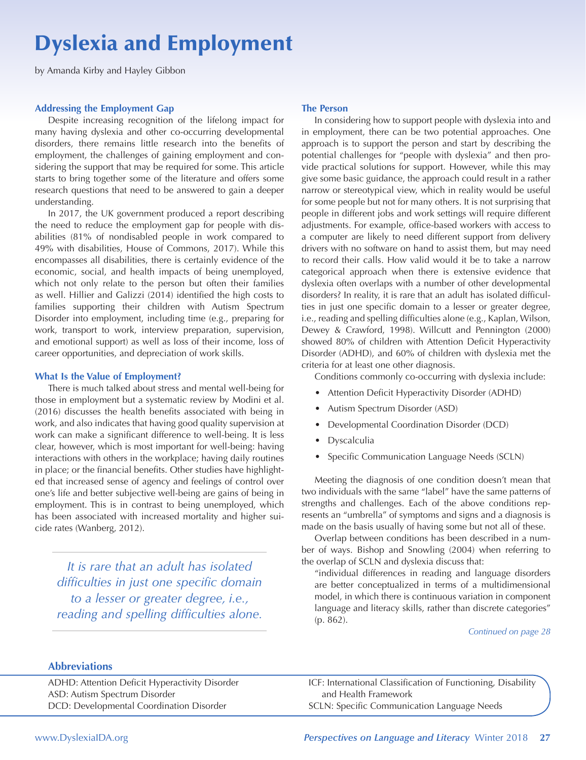# Dyslexia and Employment

by Amanda Kirby and Hayley Gibbon

## **Addressing the Employment Gap**

Despite increasing recognition of the lifelong impact for many having dyslexia and other co-occurring developmental disorders, there remains little research into the benefits of employment, the challenges of gaining employment and considering the support that may be required for some. This article starts to bring together some of the literature and offers some research questions that need to be answered to gain a deeper understanding.

In 2017, the UK government produced a report describing the need to reduce the employment gap for people with disabilities (81% of nondisabled people in work compared to 49% with disabilities, House of Commons, 2017). While this encompasses all disabilities, there is certainly evidence of the economic, social, and health impacts of being unemployed, which not only relate to the person but often their families as well. Hillier and Galizzi (2014) identified the high costs to families supporting their children with Autism Spectrum Disorder into employment, including time (e.g., preparing for work, transport to work, interview preparation, supervision, and emotional support) as well as loss of their income, loss of career opportunities, and depreciation of work skills.

## **What Is the Value of Employment?**

There is much talked about stress and mental well-being for those in employment but a systematic review by Modini et al. (2016) discusses the health benefits associated with being in work, and also indicates that having good quality supervision at work can make a significant difference to well-being. It is less clear, however, which is most important for well-being: having interactions with others in the workplace; having daily routines in place; or the financial benefits. Other studies have highlighted that increased sense of agency and feelings of control over one's life and better subjective well-being are gains of being in employment. This is in contrast to being unemployed, which has been associated with increased mortality and higher suicide rates (Wanberg, 2012).

*It is rare that an adult has isolated difficulties in just one specific domain to a lesser or greater degree, i.e., reading and spelling difficulties alone.* 

## **The Person**

In considering how to support people with dyslexia into and in employment, there can be two potential approaches. One approach is to support the person and start by describing the potential challenges for "people with dyslexia" and then provide practical solutions for support. However, while this may give some basic guidance, the approach could result in a rather narrow or stereotypical view, which in reality would be useful for some people but not for many others. It is not surprising that people in different jobs and work settings will require different adjustments. For example, office-based workers with access to a computer are likely to need different support from delivery drivers with no software on hand to assist them, but may need to record their calls. How valid would it be to take a narrow categorical approach when there is extensive evidence that dyslexia often overlaps with a number of other developmental disorders? In reality, it is rare that an adult has isolated difficulties in just one specific domain to a lesser or greater degree, i.e., reading and spelling difficulties alone (e.g., Kaplan, Wilson, Dewey & Crawford, 1998). Willcutt and Pennington (2000) showed 80% of children with Attention Deficit Hyperactivity Disorder (ADHD), and 60% of children with dyslexia met the criteria for at least one other diagnosis.

Conditions commonly co-occurring with dyslexia include:

- Attention Deficit Hyperactivity Disorder (ADHD)
- Autism Spectrum Disorder (ASD)
- Developmental Coordination Disorder (DCD)
- Dyscalculia
- Specific Communication Language Needs (SCLN)

Meeting the diagnosis of one condition doesn't mean that two individuals with the same "label" have the same patterns of strengths and challenges. Each of the above conditions represents an "umbrella" of symptoms and signs and a diagnosis is made on the basis usually of having some but not all of these.

Overlap between conditions has been described in a number of ways. Bishop and Snowling (2004) when referring to the overlap of SCLN and dyslexia discuss that:

"individual differences in reading and language disorders are better conceptualized in terms of a multidimensional model, in which there is continuous variation in component language and literacy skills, rather than discrete categories" (p. 862).

## *Continued on page 28*

## **Abbreviations**

ADHD: Attention Deficit Hyperactivity Disorder ASD: Autism Spectrum Disorder DCD: Developmental Coordination Disorder

ICF: International Classification of Functioning, Disability and Health Framework SCLN: Specific Communication Language Needs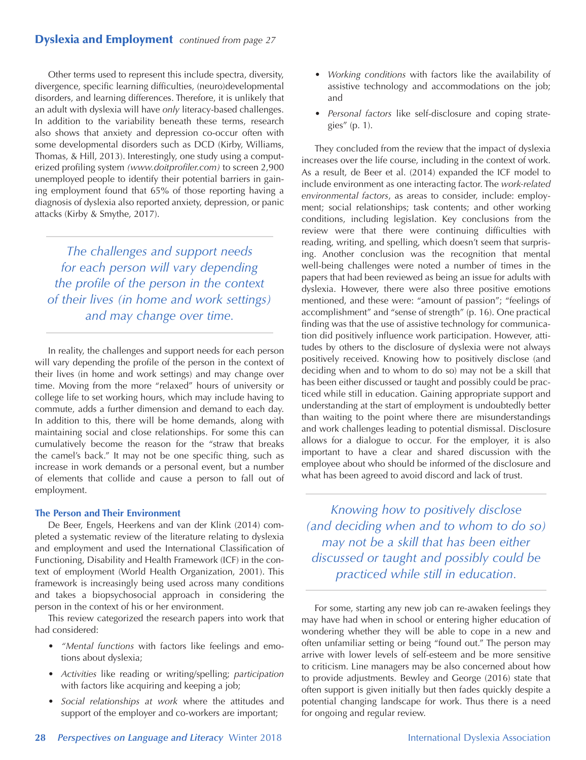# Dyslexia and Employment *continued from page 27*

Other terms used to represent this include spectra, diversity, divergence, specific learning difficulties, (neuro)developmental disorders, and learning differences. Therefore, it is unlikely that an adult with dyslexia will have *only* literacy-based challenges. In addition to the variability beneath these terms, research also shows that anxiety and depression co-occur often with some developmental disorders such as DCD (Kirby, Williams, Thomas, & Hill, 2013). Interestingly, one study using a computerized profiling system *[\(www.doitprofiler.com](http://www.doitprofiler.com))* to screen 2,900 unemployed people to identify their potential barriers in gaining employment found that 65% of those reporting having a diagnosis of dyslexia also reported anxiety, depression, or panic attacks (Kirby & Smythe, 2017).

*The challenges and support needs for each person will vary depending the profile of the person in the context of their lives (in home and work settings) and may change over time.*

In reality, the challenges and support needs for each person will vary depending the profile of the person in the context of their lives (in home and work settings) and may change over time. Moving from the more "relaxed" hours of university or college life to set working hours, which may include having to commute, adds a further dimension and demand to each day. In addition to this, there will be home demands, along with maintaining social and close relationships. For some this can cumulatively become the reason for the "straw that breaks the camel's back." It may not be one specific thing, such as increase in work demands or a personal event, but a number of elements that collide and cause a person to fall out of employment.

## **The Person and Their Environment**

De Beer, Engels, Heerkens and van der Klink (2014) completed a systematic review of the literature relating to dyslexia and employment and used the International Classification of Functioning, Disability and Health Framework (ICF) in the context of employment (World Health Organization, 2001). This framework is increasingly being used across many conditions and takes a biopsychosocial approach in considering the person in the context of his or her environment.

This review categorized the research papers into work that had considered:

- *"Mental functions* with factors like feelings and emotions about dyslexia;
- *Activities* like reading or writing/spelling; *participation* with factors like acquiring and keeping a job;
- *Social relationships at work* where the attitudes and support of the employer and co-workers are important;
- *Working conditions* with factors like the availability of assistive technology and accommodations on the job; and
- *Personal factors* like self-disclosure and coping strategies" (p. 1).

They concluded from the review that the impact of dyslexia increases over the life course, including in the context of work. As a result, de Beer et al. (2014) expanded the ICF model to include environment as one interacting factor. The *work-related environmental factors*, as areas to consider, include: employment; social relationships; task contents; and other working conditions, including legislation. Key conclusions from the review were that there were continuing difficulties with reading, writing, and spelling, which doesn't seem that surprising. Another conclusion was the recognition that mental well-being challenges were noted a number of times in the papers that had been reviewed as being an issue for adults with dyslexia. However, there were also three positive emotions mentioned, and these were: "amount of passion"; "feelings of accomplishment" and "sense of strength" (p. 16). One practical finding was that the use of assistive technology for communication did positively influence work participation. However, attitudes by others to the disclosure of dyslexia were not always positively received. Knowing how to positively disclose (and deciding when and to whom to do so) may not be a skill that has been either discussed or taught and possibly could be practiced while still in education. Gaining appropriate support and understanding at the start of employment is undoubtedly better than waiting to the point where there are misunderstandings and work challenges leading to potential dismissal. Disclosure allows for a dialogue to occur. For the employer, it is also important to have a clear and shared discussion with the employee about who should be informed of the disclosure and what has been agreed to avoid discord and lack of trust.

*Knowing how to positively disclose (and deciding when and to whom to do so) may not be a skill that has been either discussed or taught and possibly could be practiced while still in education.*

For some, starting any new job can re-awaken feelings they may have had when in school or entering higher education of wondering whether they will be able to cope in a new and often unfamiliar setting or being "found out." The person may arrive with lower levels of self-esteem and be more sensitive to criticism. Line managers may be also concerned about how to provide adjustments. Bewley and George (2016) state that often support is given initially but then fades quickly despite a potential changing landscape for work. Thus there is a need for ongoing and regular review.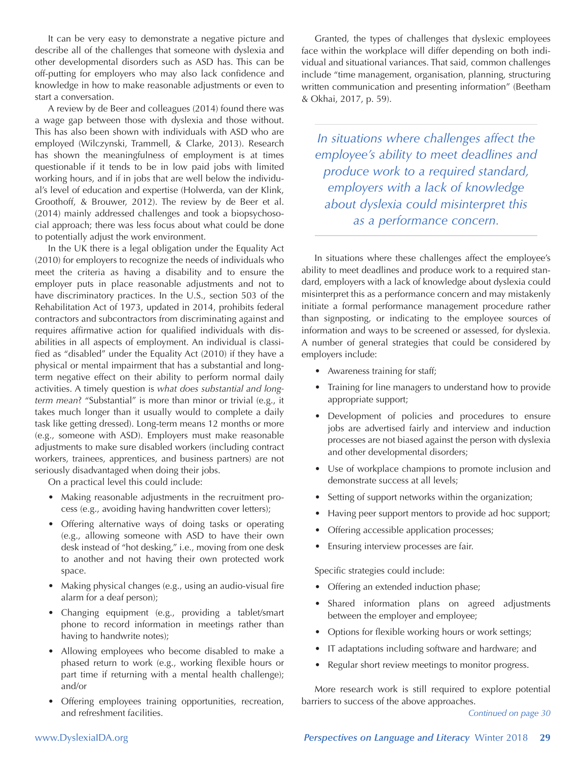It can be very easy to demonstrate a negative picture and describe all of the challenges that someone with dyslexia and other developmental disorders such as ASD has. This can be off-putting for employers who may also lack confidence and knowledge in how to make reasonable adjustments or even to start a conversation.

A review by de Beer and colleagues (2014) found there was a wage gap between those with dyslexia and those without. This has also been shown with individuals with ASD who are employed (Wilczynski, Trammell, & Clarke, 2013). Research has shown the meaningfulness of employment is at times questionable if it tends to be in low paid jobs with limited working hours, and if in jobs that are well below the individual's level of education and expertise (Holwerda, van der Klink, Groothoff, & Brouwer, 2012). The review by de Beer et al. (2014) mainly addressed challenges and took a biopsychosocial approach; there was less focus about what could be done to potentially adjust the work environment.

In the UK there is a legal obligation under the Equality Act (2010) for employers to recognize the needs of individuals who meet the criteria as having a disability and to ensure the employer puts in place reasonable adjustments and not to have discriminatory practices. In the U.S., section 503 of the Rehabilitation Act of 1973, updated in 2014, prohibits federal contractors and subcontractors from discriminating against and requires affirmative action for qualified individuals with disabilities in all aspects of employment. An individual is classified as "disabled" under the Equality Act (2010) if they have a physical or mental impairment that has a substantial and longterm negative effect on their ability to perform normal daily activities. A timely question is *what does substantial and longterm mean*? "Substantial" is more than minor or trivial (e.g., it takes much longer than it usually would to complete a daily task like getting dressed). Long-term means 12 months or more (e.g., someone with ASD). Employers must make reasonable adjustments to make sure disabled workers (including contract workers, trainees, apprentices, and business partners) are not seriously disadvantaged when doing their jobs.

On a practical level this could include:

- Making reasonable adjustments in the recruitment process (e.g., avoiding having handwritten cover letters);
- Offering alternative ways of doing tasks or operating (e.g., allowing someone with ASD to have their own desk instead of "hot desking," i.e., moving from one desk to another and not having their own protected work space.
- Making physical changes (e.g., using an audio-visual fire alarm for a deaf person);
- Changing equipment (e.g., providing a tablet/smart phone to record information in meetings rather than having to handwrite notes);
- Allowing employees who become disabled to make a phased return to work (e.g., working flexible hours or part time if returning with a mental health challenge); and/or
- Offering employees training opportunities, recreation, and refreshment facilities.

Granted, the types of challenges that dyslexic employees face within the workplace will differ depending on both individual and situational variances. That said, common challenges include "time management, organisation, planning, structuring written communication and presenting information" (Beetham & Okhai, 2017, p. 59).

*In situations where challenges affect the employee's ability to meet deadlines and produce work to a required standard, employers with a lack of knowledge about dyslexia could misinterpret this as a performance concern.*

In situations where these challenges affect the employee's ability to meet deadlines and produce work to a required standard, employers with a lack of knowledge about dyslexia could misinterpret this as a performance concern and may mistakenly initiate a formal performance management procedure rather than signposting, or indicating to the employee sources of information and ways to be screened or assessed, for dyslexia. A number of general strategies that could be considered by employers include:

- Awareness training for staff;
- Training for line managers to understand how to provide appropriate support;
- Development of policies and procedures to ensure jobs are advertised fairly and interview and induction processes are not biased against the person with dyslexia and other developmental disorders;
- Use of workplace champions to promote inclusion and demonstrate success at all levels;
- Setting of support networks within the organization;
- Having peer support mentors to provide ad hoc support;
- Offering accessible application processes;
- Ensuring interview processes are fair.

Specific strategies could include:

- Offering an extended induction phase;
- Shared information plans on agreed adjustments between the employer and employee;
- Options for flexible working hours or work settings;
- IT adaptations including software and hardware; and
- Regular short review meetings to monitor progress.

More research work is still required to explore potential barriers to success of the above approaches.

*Continued on page 30*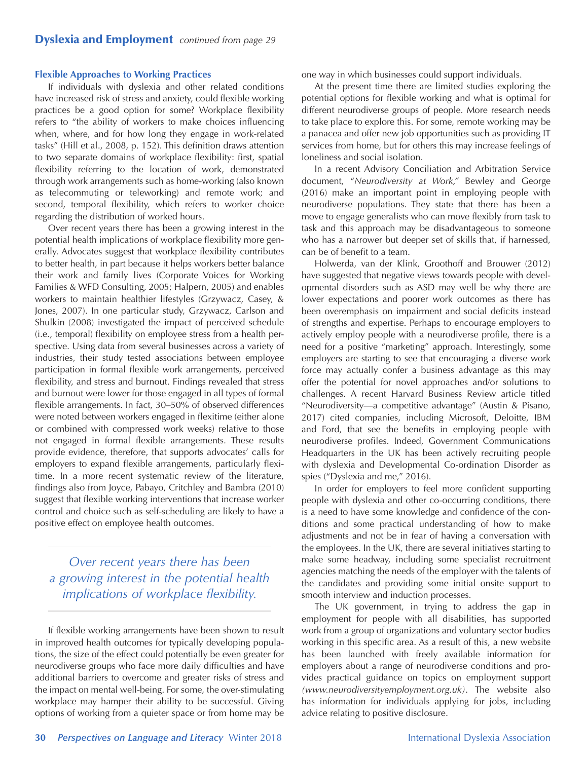## **Flexible Approaches to Working Practices**

If individuals with dyslexia and other related conditions have increased risk of stress and anxiety, could flexible working practices be a good option for some? Workplace flexibility refers to "the ability of workers to make choices influencing when, where, and for how long they engage in work-related tasks" (Hill et al., 2008, p. 152). This definition draws attention to two separate domains of workplace flexibility: first, spatial flexibility referring to the location of work, demonstrated through work arrangements such as home-working (also known as telecommuting or teleworking) and remote work; and second, temporal flexibility, which refers to worker choice regarding the distribution of worked hours.

Over recent years there has been a growing interest in the potential health implications of workplace flexibility more generally. Advocates suggest that workplace flexibility contributes to better health, in part because it helps workers better balance their work and family lives (Corporate Voices for Working Families & WFD Consulting, 2005; Halpern, 2005) and enables workers to maintain healthier lifestyles (Grzywacz, Casey, & Jones, 2007). In one particular study, Grzywacz, Carlson and Shulkin (2008) investigated the impact of perceived schedule (i.e., temporal) flexibility on employee stress from a health perspective. Using data from several businesses across a variety of industries, their study tested associations between employee participation in formal flexible work arrangements, perceived flexibility, and stress and burnout. Findings revealed that stress and burnout were lower for those engaged in all types of formal flexible arrangements. In fact, 30–50% of observed differences were noted between workers engaged in flexitime (either alone or combined with compressed work weeks) relative to those not engaged in formal flexible arrangements. These results provide evidence, therefore, that supports advocates' calls for employers to expand flexible arrangements, particularly flexitime. In a more recent systematic review of the literature, findings also from Joyce, Pabayo, Critchley and Bambra (2010) suggest that flexible working interventions that increase worker control and choice such as self-scheduling are likely to have a positive effect on employee health outcomes.

*Over recent years there has been a growing interest in the potential health implications of workplace flexibility.*

If flexible working arrangements have been shown to result in improved health outcomes for typically developing populations, the size of the effect could potentially be even greater for neurodiverse groups who face more daily difficulties and have additional barriers to overcome and greater risks of stress and the impact on mental well-being. For some, the over-stimulating workplace may hamper their ability to be successful. Giving options of working from a quieter space or from home may be one way in which businesses could support individuals.

At the present time there are limited studies exploring the potential options for flexible working and what is optimal for different neurodiverse groups of people. More research needs to take place to explore this. For some, remote working may be a panacea and offer new job opportunities such as providing IT services from home, but for others this may increase feelings of loneliness and social isolation.

In a recent Advisory Conciliation and Arbitration Service document, "*Neurodiversity at Work,"* Bewley and George (2016) make an important point in employing people with neurodiverse populations. They state that there has been a move to engage generalists who can move flexibly from task to task and this approach may be disadvantageous to someone who has a narrower but deeper set of skills that, if harnessed, can be of benefit to a team.

Holwerda, van der Klink, Groothoff and Brouwer (2012) have suggested that negative views towards people with developmental disorders such as ASD may well be why there are lower expectations and poorer work outcomes as there has been overemphasis on impairment and social deficits instead of strengths and expertise. Perhaps to encourage employers to actively employ people with a neurodiverse profile, there is a need for a positive "marketing" approach. Interestingly, some employers are starting to see that encouraging a diverse work force may actually confer a business advantage as this may offer the potential for novel approaches and/or solutions to challenges. A recent Harvard Business Review article titled "Neurodiversity—a competitive advantage" (Austin & Pisano, 2017) cited companies, including Microsoft, Deloitte, IBM and Ford, that see the benefits in employing people with neurodiverse profiles. Indeed, Government Communications Headquarters in the UK has been actively recruiting people with dyslexia and Developmental Co-ordination Disorder as spies ("Dyslexia and me," 2016).

In order for employers to feel more confident supporting people with dyslexia and other co-occurring conditions, there is a need to have some knowledge and confidence of the conditions and some practical understanding of how to make adjustments and not be in fear of having a conversation with the employees. In the UK, there are several initiatives starting to make some headway, including some specialist recruitment agencies matching the needs of the employer with the talents of the candidates and providing some initial onsite support to smooth interview and induction processes.

The UK government, in trying to address the gap in employment for people with all disabilities, has supported work from a group of organizations and voluntary sector bodies working in this specific area. As a result of this, a new website has been launched with freely available information for employers about a range of neurodiverse conditions and provides practical guidance on topics on employment support *[\(www.neurodiversityemployment.org.uk\)](http://www.neurodiversityemployment.org.uk)*. The website also has information for individuals applying for jobs, including advice relating to positive disclosure.